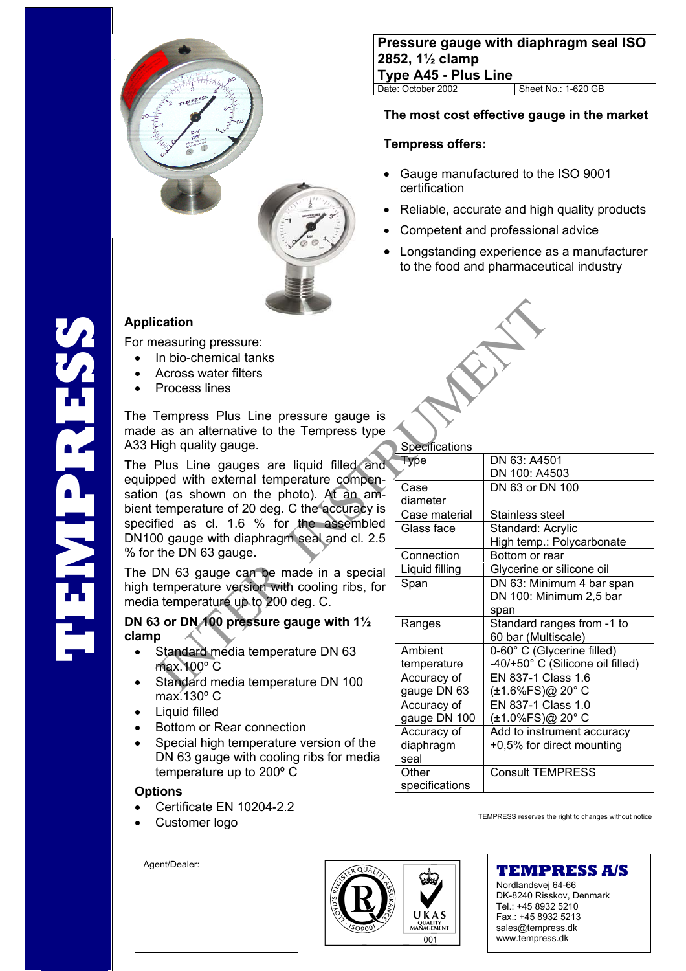

# **Application**

For measuring pressure:

- In bio-chemical tanks
- Across water filters
- Process lines

The Tempress Plus Line pressure gauge is made as an alternative to the Tempress type A33 High quality gauge.

The Plus Line gauges are liquid filled and equipped with external temperature compensation (as shown on the photo). At an ambient temperature of 20 deg. C the accuracy is specified as cl. 1.6 % for the assembled DN100 gauge with diaphragm seal and cl. 2.5 % for the DN 63 gauge.

The DN 63 gauge can be made in a special high temperature version with cooling ribs, for media temperature up to 200 deg. C.

**DN 63 or DN 100 pressure gauge with 1½ clamp** 

- Standard media temperature DN 63 max.100º C
- Standard media temperature DN 100 max.130º C
- Liquid filled
- Bottom or Rear connection
- Special high temperature version of the DN 63 gauge with cooling ribs for media temperature up to 200º C

## **Options**

- Certificate EN 10204-2.2
- 

Agent/Dealer:

| <b>Pressure gauge with diaphragm seal ISO</b><br>$ 2852, 1\frac{1}{2}$ clamp |                     |  |
|------------------------------------------------------------------------------|---------------------|--|
| <b>Type A45 - Plus Line</b>                                                  |                     |  |
| Date: October 2002                                                           | Sheet No.: 1-620 GB |  |

## **The most cost effective gauge in the market**

#### **Tempress offers:**

- Gauge manufactured to the ISO 9001 certification
- Reliable, accurate and high quality products
- Competent and professional advice
- Longstanding experience as a manufacturer to the food and pharmaceutical industry



| cation                                                                                                          |                                  |                                                                |
|-----------------------------------------------------------------------------------------------------------------|----------------------------------|----------------------------------------------------------------|
| easuring pressure:<br>In bio-chemical tanks<br><b>Across water filters</b>                                      |                                  |                                                                |
| Process lines                                                                                                   |                                  |                                                                |
| Tempress Plus Line pressure gauge is<br>as an alternative to the Tempress type<br>ligh quality gauge.           | Specifications                   |                                                                |
| Plus Line gauges are liquid filled and                                                                          | <b>Type</b>                      | DN 63: A4501                                                   |
| ped with external temperature compen-                                                                           |                                  | DN 100: A4503                                                  |
| as shown on the photo). At an am-                                                                               | Case<br>diameter                 | DN 63 or DN 100                                                |
| temperature of 20 deg. C the accuracy is                                                                        | Case material                    | Stainless steel                                                |
| fied as cl. 1.6 % for the assembled<br>0 gauge with diaphragm seal and cl. 2.5                                  | Glass face                       | Standard: Acrylic<br>High temp.: Polycarbonate                 |
| the DN 63 gauge.                                                                                                | Connection                       | Bottom or rear                                                 |
| ON 63 gauge can be made in a special                                                                            | Liquid filling                   | Glycerine or silicone oil                                      |
| emperature version with cooling ribs, for<br>a temperature up to 200 deg. C.                                    | Span                             | DN 63: Minimum 4 bar span<br>DN 100: Minimum 2,5 bar<br>span   |
| 3 or DN 100 pressure gauge with 1 $\frac{1}{2}$                                                                 | Ranges                           | Standard ranges from -1 to<br>60 bar (Multiscale)              |
| Standard média temperature DN 63<br>max. 100° C                                                                 | Ambient<br>temperature           | 0-60° C (Glycerine filled)<br>-40/+50° C (Silicone oil filled) |
| Standard media temperature DN 100<br>max.130° C                                                                 | Accuracy of<br>gauge DN 63       | EN 837-1 Class 1.6<br>(±1.6%FS)@ 20°C                          |
| Liquid filled                                                                                                   | Accuracy of<br>gauge DN 100      | EN 837-1 Class 1.0<br>(±1.0%FS)@ 20°C                          |
| Bottom or Rear connection<br>Special high temperature version of the<br>DN 63 gauge with cooling ribs for media | Accuracy of<br>diaphragm<br>seal | Add to instrument accuracy<br>+0,5% for direct mounting        |
| temperature up to 200° C<br>$\blacksquare$                                                                      | Other<br>specifications          | <b>Consult TEMPRESS</b>                                        |

**Customer logo** TEMPRESS reserves the right to changes without notice



Nordlandsvej 64-66 DK-8240 Risskov, Denmark Tel.: +45 8932 5210 Fax.: +45 8932 5213 sales@tempress.dk www.tempress.dk